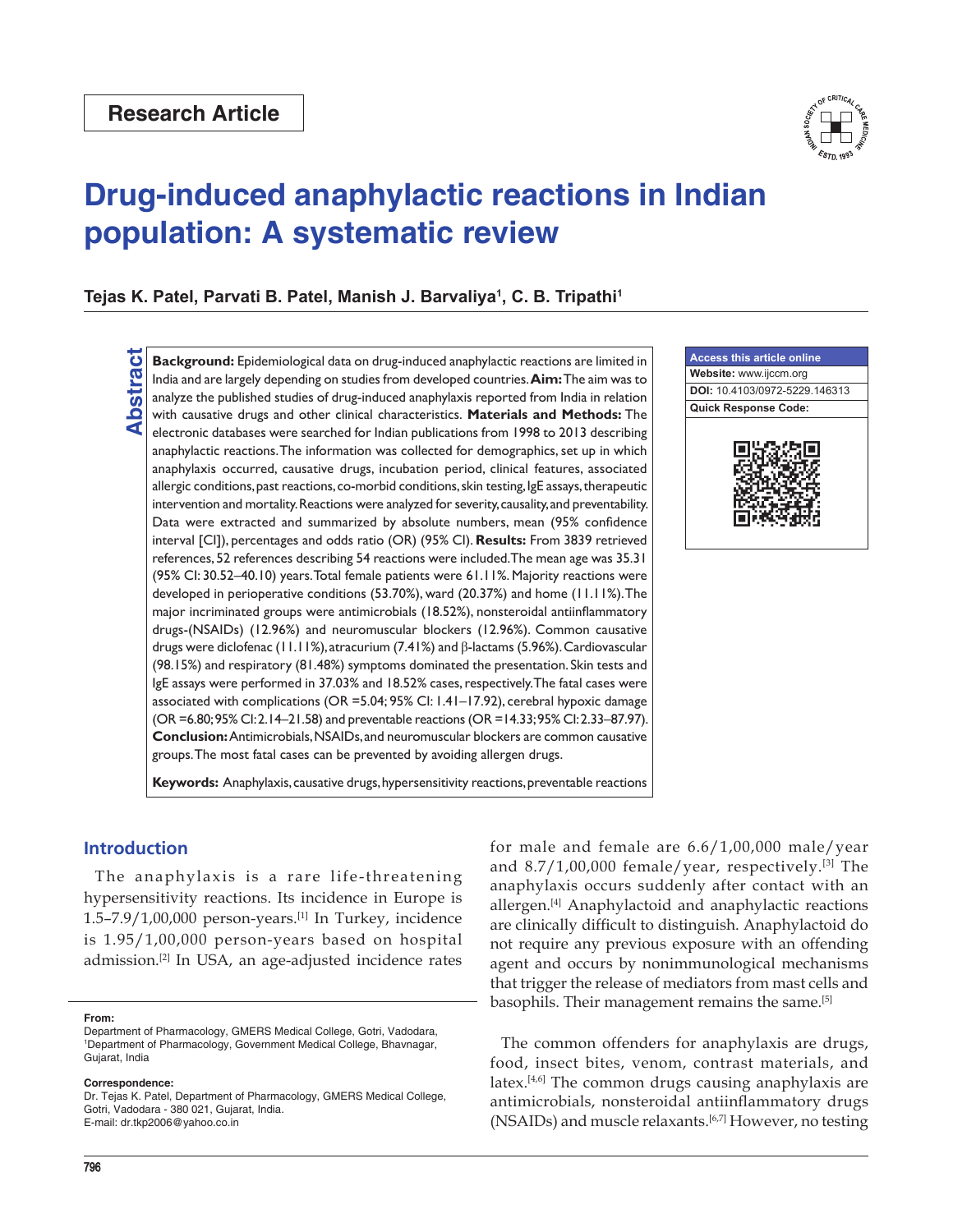

# **Drug-induced anaphylactic reactions in Indian population: A systematic review**

**Tejas K. Patel, Parvati B. Patel, Manish J. Barvaliya1 , C. B. Tripathi1**

**Background:** Epidemiological data on drug-induced anaphylactic reactions are limited in India and are largely depending on studies from developed countries. **Aim:** The aim was to analyze the published studies of drug-induced anaphylaxis reported from India in relation with causative drugs and other clinical characteristics. **Materials and Methods:** The electronic databases were searched for Indian publications from 1998 to 2013 describing anaphylactic reactions. The information was collected for demographics, set up in which anaphylaxis occurred, causative drugs, incubation period, clinical features, associated allergic conditions, past reactions, co-morbid conditions, skin testing, IgE assays, therapeutic intervention and mortality. Reactions were analyzed for severity, causality, and preventability. Data were extracted and summarized by absolute numbers, mean (95% confidence interval [CI]), percentages and odds ratio (OR) (95% CI). **Results:** From 3839 retrieved references, 52 references describing 54 reactions were included. The mean age was 35.31 (95% CI: 30.52–40.10) years. Total female patients were 61.11%. Majority reactions were developed in perioperative conditions (53.70%), ward (20.37%) and home (11.11%). The major incriminated groups were antimicrobials (18.52%), nonsteroidal antiinflammatory drugs-(NSAIDs) (12.96%) and neuromuscular blockers (12.96%). Common causative drugs were diclofenac (11.11%), atracurium (7.41%) and β-lactams (5.96%). Cardiovascular (98.15%) and respiratory (81.48%) symptoms dominated the presentation. Skin tests and IgE assays were performed in 37.03% and 18.52% cases, respectively. The fatal cases were associated with complications (OR =5.04; 95% CI: 1.41–17.92), cerebral hypoxic damage (OR =6.80; 95% CI: 2.14–21.58) and preventable reactions (OR =14.33; 95% CI: 2.33–87.97). **Conclusion:** Antimicrobials, NSAIDs, and neuromuscular blockers are common causative groups. The most fatal cases can be prevented by avoiding allergen drugs.



**Keywords:** Anaphylaxis, causative drugs, hypersensitivity reactions, preventable reactions

## **Introduction**

**Abstract**

**Abstract** 

The anaphylaxis is a rare life-threatening hypersensitivity reactions. Its incidence in Europe is 1.5–7.9/1,00,000 person-years.<sup>[1]</sup> In Turkey, incidence is 1.95/1,00,000 person-years based on hospital admission.[2] In USA, an age-adjusted incidence rates

#### **From:**

#### **Correspondence:**

for male and female are 6.6/1,00,000 male/year and 8.7/1,00,000 female/year, respectively.[3] The anaphylaxis occurs suddenly after contact with an allergen.[4] Anaphylactoid and anaphylactic reactions are clinically difficult to distinguish. Anaphylactoid do not require any previous exposure with an offending agent and occurs by nonimmunological mechanisms that trigger the release of mediators from mast cells and basophils. Their management remains the same.[5]

The common offenders for anaphylaxis are drugs, food, insect bites, venom, contrast materials, and latex.[4,6] The common drugs causing anaphylaxis are antimicrobials, nonsteroidal antiinflammatory drugs (NSAIDs) and muscle relaxants.<sup>[6,7]</sup> However, no testing

Department of Pharmacology, GMERS Medical College, Gotri, Vadodara, 1 Department of Pharmacology, Government Medical College, Bhavnagar, Gujarat, India

Dr. Tejas K. Patel, Department of Pharmacology, GMERS Medical College, Gotri, Vadodara - 380 021, Gujarat, India. E-mail: dr.tkp2006@yahoo.co.in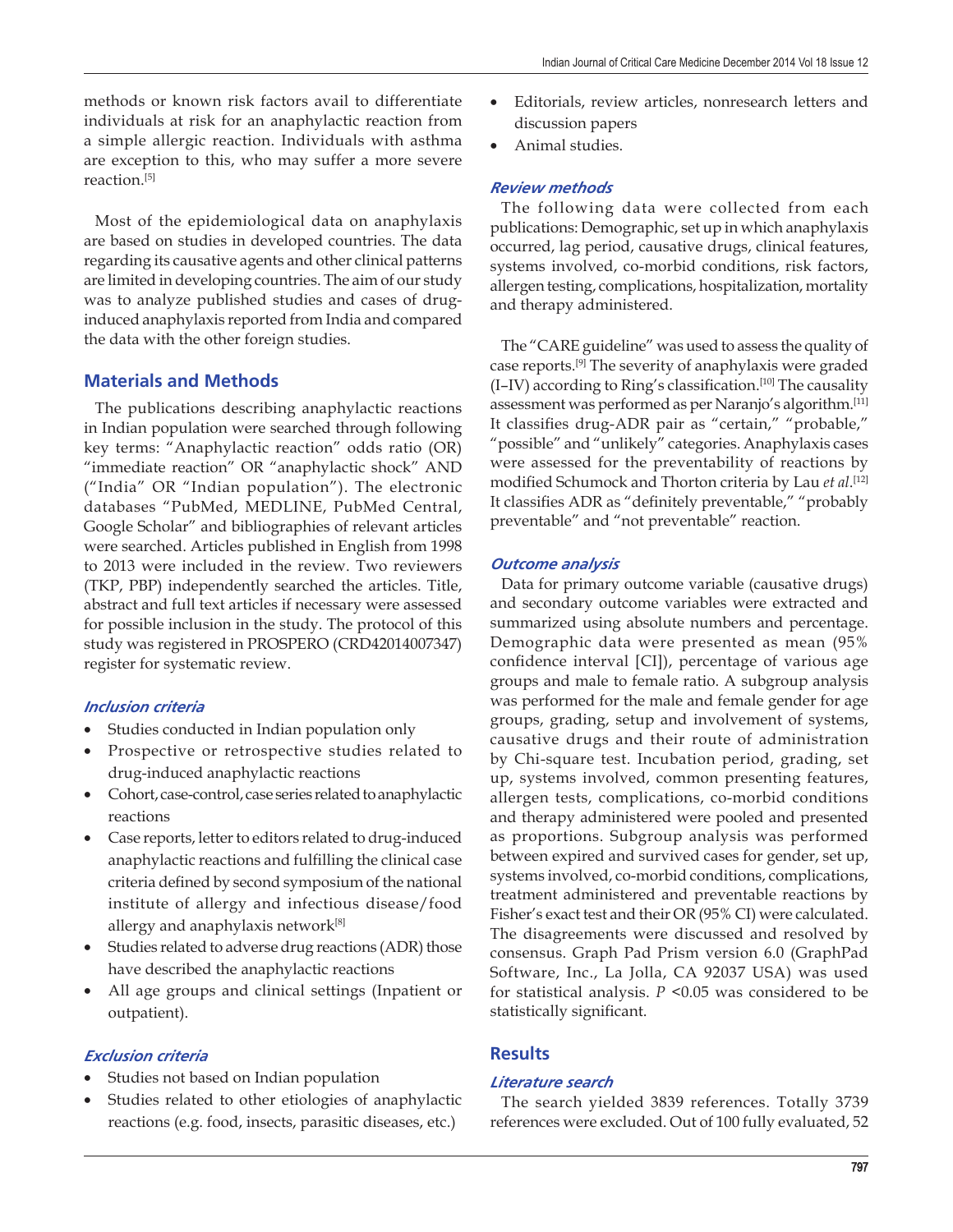methods or known risk factors avail to differentiate individuals at risk for an anaphylactic reaction from a simple allergic reaction. Individuals with asthma are exception to this, who may suffer a more severe reaction.[5]

Most of the epidemiological data on anaphylaxis are based on studies in developed countries. The data regarding its causative agents and other clinical patterns are limited in developing countries. The aim of our study was to analyze published studies and cases of druginduced anaphylaxis reported from India and compared the data with the other foreign studies.

# **Materials and Methods**

The publications describing anaphylactic reactions in Indian population were searched through following key terms: "Anaphylactic reaction" odds ratio (OR) "immediate reaction" OR "anaphylactic shock" AND ("India" OR "Indian population"). The electronic databases "PubMed, MEDLINE, PubMed Central, Google Scholar" and bibliographies of relevant articles were searched. Articles published in English from 1998 to 2013 were included in the review. Two reviewers (TKP, PBP) independently searched the articles. Title, abstract and full text articles if necessary were assessed for possible inclusion in the study. The protocol of this study was registered in PROSPERO (CRD42014007347) register for systematic review.

### *Inclusion criteria*

- Studies conducted in Indian population only
- Prospective or retrospective studies related to drug-induced anaphylactic reactions
- Cohort, case-control, case series related to anaphylactic reactions
- Case reports, letter to editors related to drug-induced anaphylactic reactions and fulfilling the clinical case criteria defined by second symposium of the national institute of allergy and infectious disease/food allergy and anaphylaxis network<sup>[8]</sup>
- Studies related to adverse drug reactions (ADR) those have described the anaphylactic reactions
- All age groups and clinical settings (Inpatient or outpatient).

### *Exclusion criteria*

- Studies not based on Indian population
- Studies related to other etiologies of anaphylactic reactions (e.g. food, insects, parasitic diseases, etc.)
- Editorials, review articles, nonresearch letters and discussion papers
- Animal studies.

### *Review methods*

The following data were collected from each publications: Demographic, set up in which anaphylaxis occurred, lag period, causative drugs, clinical features, systems involved, co-morbid conditions, risk factors, allergen testing, complications, hospitalization, mortality and therapy administered.

The "CARE guideline" was used to assess the quality of case reports.[9] The severity of anaphylaxis were graded (I-IV) according to Ring's classification.<sup>[10]</sup> The causality assessment was performed as per Naranjo's algorithm.[11] It classifies drug-ADR pair as "certain," "probable," "possible" and "unlikely" categories. Anaphylaxis cases were assessed for the preventability of reactions by modified Schumock and Thorton criteria by Lau *et al*.<sup>[12]</sup> It classifies ADR as "definitely preventable," "probably preventable" and "not preventable" reaction.

### *Outcome analysis*

Data for primary outcome variable (causative drugs) and secondary outcome variables were extracted and summarized using absolute numbers and percentage. Demographic data were presented as mean (95% confidence interval [CI]), percentage of various age groups and male to female ratio. A subgroup analysis was performed for the male and female gender for age groups, grading, setup and involvement of systems, causative drugs and their route of administration by Chi-square test. Incubation period, grading, set up, systems involved, common presenting features, allergen tests, complications, co-morbid conditions and therapy administered were pooled and presented as proportions. Subgroup analysis was performed between expired and survived cases for gender, set up, systems involved, co-morbid conditions, complications, treatment administered and preventable reactions by Fisher's exact test and their OR (95% CI) were calculated. The disagreements were discussed and resolved by consensus. Graph Pad Prism version 6.0 (GraphPad Software, Inc., La Jolla, CA 92037 USA) was used for statistical analysis.  $P \le 0.05$  was considered to be statistically significant.

### **Results**

### *Literature search*

The search yielded 3839 references. Totally 3739 references were excluded. Out of 100 fully evaluated, 52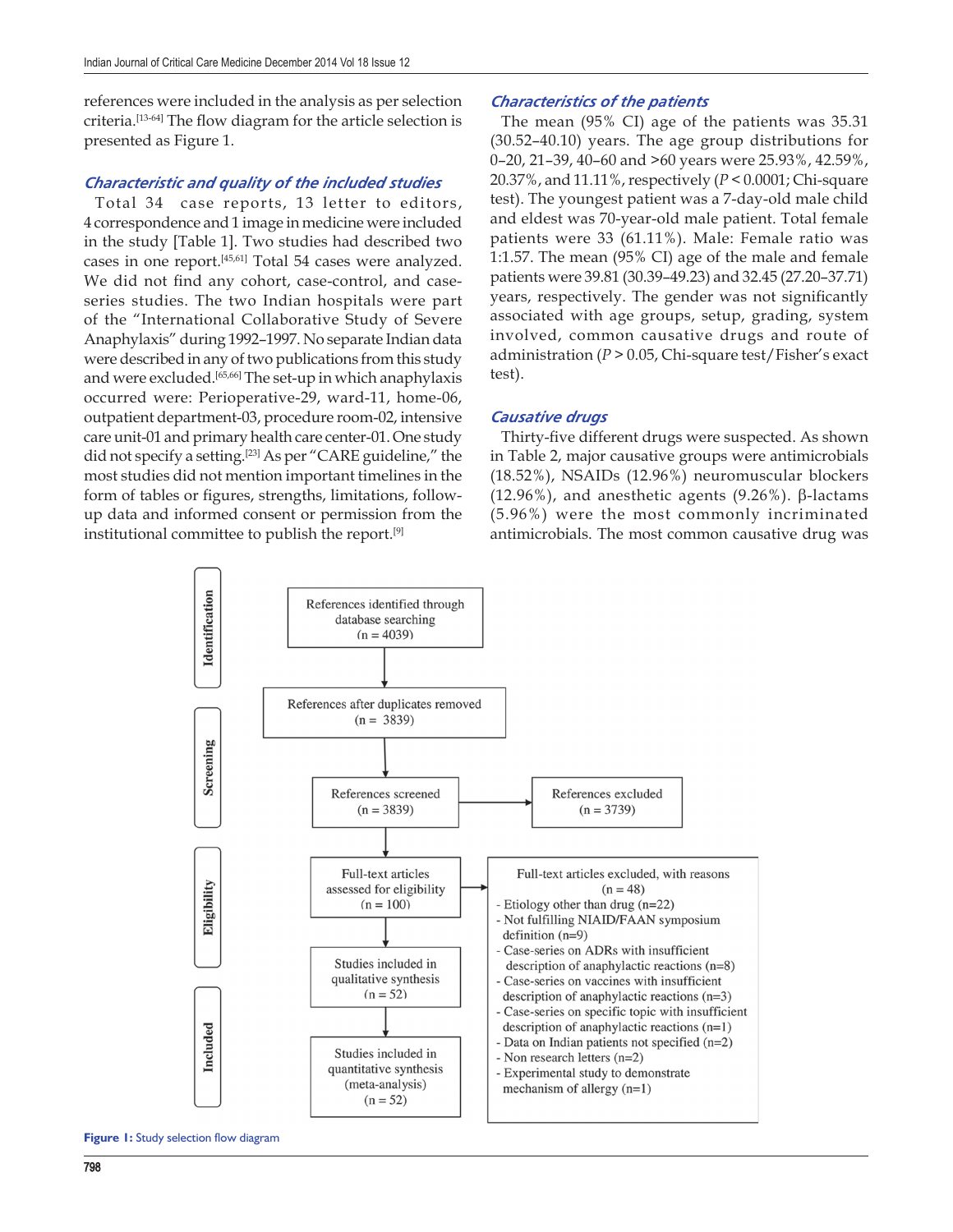references were included in the analysis as per selection criteria.<sup>[13-64]</sup> The flow diagram for the article selection is presented as Figure 1.

#### *Characteristic and quality of the included studies*

Total 34 case reports, 13 letter to editors, 4 correspondence and 1 image in medicine were included in the study [Table 1]. Two studies had described two cases in one report.[45,61] Total 54 cases were analyzed. We did not find any cohort, case-control, and caseseries studies. The two Indian hospitals were part of the "International Collaborative Study of Severe Anaphylaxis" during 1992–1997. No separate Indian data were described in any of two publications from this study and were excluded.[65,66] The set-up in which anaphylaxis occurred were: Perioperative-29, ward-11, home-06, outpatient department-03, procedure room-02, intensive care unit-01 and primary health care center-01. One study did not specify a setting.[23] As per "CARE guideline," the most studies did not mention important timelines in the form of tables or figures, strengths, limitations, followup data and informed consent or permission from the institutional committee to publish the report.[9]

#### *Characteristics of the patients*

The mean (95% CI) age of the patients was 35.31 (30.52–40.10) years. The age group distributions for 0–20, 21–39, 40–60 and >60 years were 25.93%, 42.59%, 20.37%, and 11.11%, respectively (*P* < 0.0001; Chi-square test). The youngest patient was a 7-day-old male child and eldest was 70-year-old male patient. Total female patients were 33 (61.11%). Male: Female ratio was 1:1.57. The mean (95% CI) age of the male and female patients were 39.81 (30.39–49.23) and 32.45 (27.20–37.71) years, respectively. The gender was not significantly associated with age groups, setup, grading, system involved, common causative drugs and route of administration (*P* > 0.05, Chi-square test/Fisher's exact test).

#### *Causative drugs*

Thirty-five different drugs were suspected. As shown in Table 2, major causative groups were antimicrobials (18.52%), NSAIDs (12.96%) neuromuscular blockers (12.96%), and anesthetic agents (9.26%).  $\beta$ -lactams (5.96%) were the most commonly incriminated antimicrobials. The most common causative drug was



**Figure 1:** Study selection flow diagram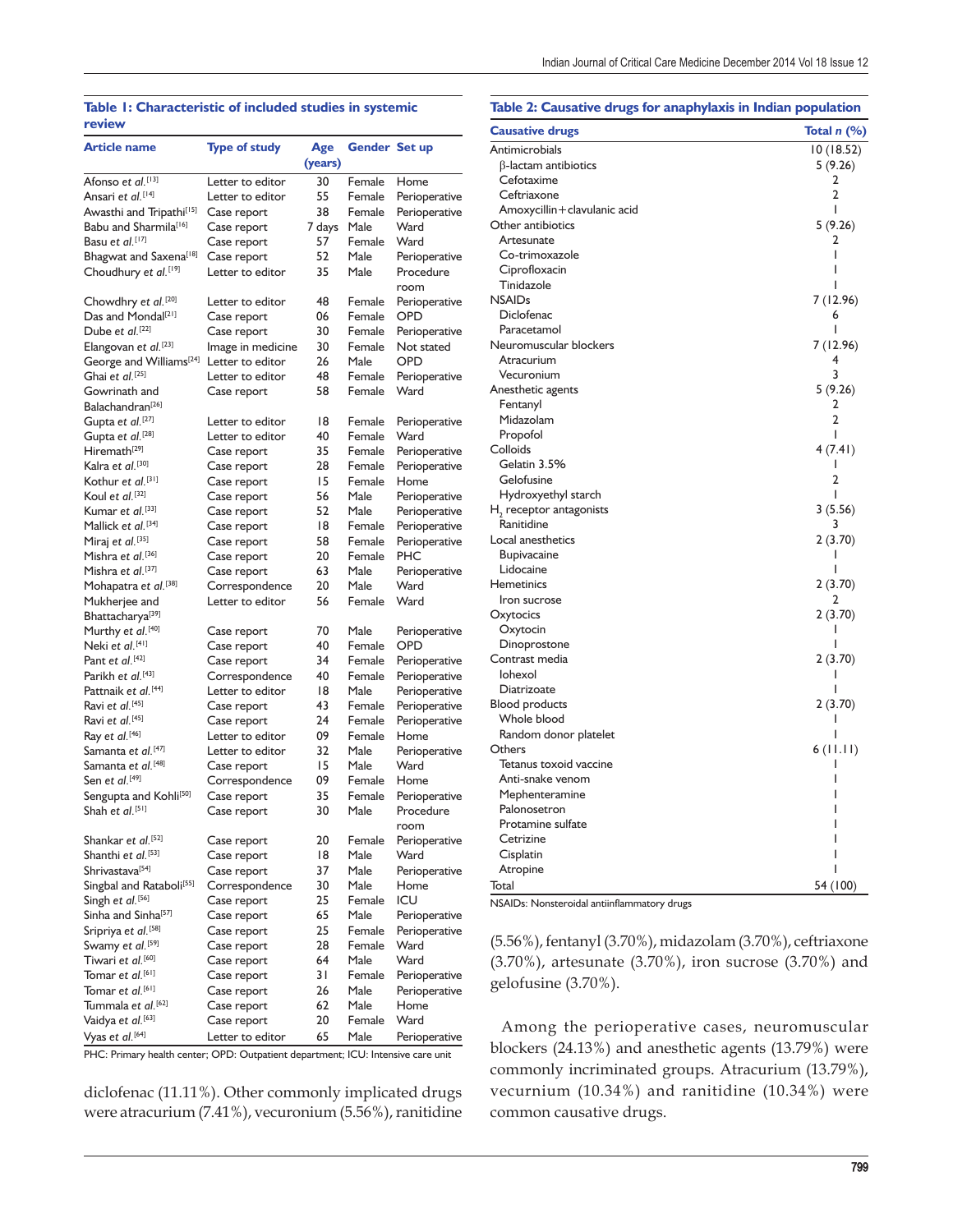| review                                      |                   |         |                      |                   |  |
|---------------------------------------------|-------------------|---------|----------------------|-------------------|--|
| <b>Article name</b><br><b>Type of study</b> |                   | Age     | <b>Gender Set up</b> |                   |  |
|                                             |                   | (years) |                      |                   |  |
| Afonso et al. <sup>[13]</sup>               | Letter to editor  | 30      | Female               | Home              |  |
| Ansari et al. <sup>[14]</sup>               | Letter to editor  | 55      | Female               | Perioperative     |  |
| Awasthi and Tripathi <sup>[15]</sup>        | Case report       | 38      | Female               | Perioperative     |  |
| Babu and Sharmila <sup>[16]</sup>           | Case report       | 7 days  | Male                 | Ward              |  |
| Basu et al.[17]                             | Case report       | 57      | Female               | Ward              |  |
| Bhagwat and Saxena <sup>[18]</sup>          | Case report       | 52      | Male                 | Perioperative     |  |
| Choudhury et al. <sup>[19]</sup>            | Letter to editor  | 35      | Male                 | Procedure<br>room |  |
| Chowdhry et al. <sup>[20]</sup>             | Letter to editor  | 48      | Female               | Perioperative     |  |
| Das and Mondal <sup>[21]</sup>              | Case report       | 06      | Female               | OPD               |  |
| Dube et al. $[22]$                          | Case report       | 30      | Female               | Perioperative     |  |
| Elangovan et al. <sup>[23]</sup>            | Image in medicine | 30      | Female               | Not stated        |  |
| George and Williams <sup>[24]</sup>         | Letter to editor  | 26      | Male                 | OPD               |  |
| Ghai et al. <sup>[25]</sup>                 | Letter to editor  | 48      | Female               | Perioperative     |  |
| Gowrinath and                               | Case report       | 58      | Female               | Ward              |  |
| Balachandran <sup>[26]</sup>                |                   |         |                      |                   |  |
| Gupta et al. <sup>[27]</sup>                | Letter to editor  | 18      | Female               | Perioperative     |  |
| Gupta et al. <sup>[28]</sup>                | Letter to editor  | 40      | Female               | Ward              |  |
| Hiremath <sup>[29]</sup>                    | Case report       | 35      | Female               | Perioperative     |  |
| Kalra et al. <sup>[30]</sup>                | Case report       | 28      | Female               | Perioperative     |  |
| Kothur et al.[31]                           | Case report       | 15      | Female               | Home              |  |
| Koul et al. <sup>[32]</sup>                 | Case report       | 56      | Male                 | Perioperative     |  |
| Kumar et al. <sup>[33]</sup>                | Case report       | 52      | Male                 | Perioperative     |  |
| Mallick et al. <sup>[34]</sup>              | Case report       | 18      | Female               | Perioperative     |  |
| Miraj et al. <sup>[35]</sup>                | Case report       | 58      | Female               | Perioperative     |  |
| Mishra et al. <sup>[36]</sup>               | Case report       | 20      | Female               | PHC               |  |
| Mishra et al. <sup>[37]</sup>               | Case report       | 63      | Male                 | Perioperative     |  |
| Mohapatra et al. <sup>[38]</sup>            | Correspondence    | 20      | Male                 | Ward              |  |
| Mukherjee and                               | Letter to editor  | 56      | Female               | Ward              |  |
| Bhattacharya<br>[39]                        |                   |         |                      |                   |  |
| Murthy et al. <sup>[40]</sup>               | Case report       | 70      | Male                 | Perioperative     |  |
| Neki et al. <sup>[41]</sup>                 | Case report       | 40      | Female               | OPD               |  |
| Pant et al. <sup>[42]</sup>                 | Case report       | 34      | Female               | Perioperative     |  |
| Parikh et al. <sup>[43]</sup>               | Correspondence    | 40      | Female               | Perioperative     |  |
| Pattnaik et al. <sup>[44]</sup>             | Letter to editor  | 18      | Male                 | Perioperative     |  |
| Ravi et al. <sup>[45]</sup>                 | Case report       | 43      | Female               | Perioperative     |  |
| Ravi et al. <sup>[45]</sup>                 | Case report       | 24      | Female               | Perioperative     |  |
| Ray et al. <sup>[46]</sup>                  | Letter to editor  | 09      | Female               | Home              |  |
| Samanta et al. [47]                         | Letter to editor  | 32      | Male                 | Perioperative     |  |
| Samanta et al. [48]                         | Case report       | 15      | Male                 | Ward              |  |
| Sen et al. [49]                             | Correspondence    | 09      | Female               | Home              |  |
| Sengupta and Kohli <sup>[50]</sup>          | Case report       | 35      | Female               | Perioperative     |  |
| Shah et al. <sup>[51]</sup>                 | Case report       | 30      | Male                 | Procedure<br>room |  |
| Shankar et al. <sup>[52]</sup>              | Case report       | 20      | Female               | Perioperative     |  |
| Shanthi et al. <sup>[53]</sup>              | Case report       | 18      | Male                 | Ward              |  |
| Shrivastava[54]                             | Case report       | 37      | Male                 | Perioperative     |  |
| Singbal and Rataboli <sup>[55]</sup>        | Correspondence    | 30      | Male                 | Home              |  |
| Singh et al. <sup>[56]</sup>                | Case report       | 25      | Female               | ICU               |  |
| Sinha and Sinha <sup>[57]</sup>             | Case report       | 65      | Male                 | Perioperative     |  |
| Sripriya et al. <sup>[58]</sup>             | Case report       | 25      | Female               | Perioperative     |  |
| Swamy et al. <sup>[59]</sup>                | Case report       | 28      | Female               | Ward              |  |
| Tiwari et al. <sup>[60]</sup>               | Case report       | 64      | Male                 | Ward              |  |
| Tomar et al. <sup>[61]</sup>                | Case report       | 31      | Female               | Perioperative     |  |
| Tomar et al. <sup>[61]</sup>                | Case report       | 26      | Male                 | Perioperative     |  |
| Tummala et al. <sup>[62]</sup>              | Case report       | 62      | Male                 | Home              |  |
| Vaidya et al. [63]                          | Case report       | 20      | Female               | Ward              |  |
| Vyas et al. <sup>[64]</sup>                 | Letter to editor  | 65      | Male                 | Perioperative     |  |

**Table 1: Characteristic of included studies in systemic** 

PHC: Primary health center; OPD: Outpatient department; ICU: Intensive care unit

diclofenac (11.11%). Other commonly implicated drugs were atracurium (7.41%), vecuronium (5.56%), ranitidine

| <b>Causative drugs</b>              | Total n (%)    |
|-------------------------------------|----------------|
| Antimicrobials                      | 10(18.52)      |
| $\beta$ -lactam antibiotics         | 5(9.26)        |
| Cefotaxime                          | 2              |
| Ceftriaxone                         | $\overline{2}$ |
| Amoxycillin + clavulanic acid       | I              |
| Other antibiotics                   | 5(9.26)        |
| Artesunate                          | 2              |
| Co-trimoxazole                      | I              |
| Ciprofloxacin                       | I              |
| Tinidazole                          | I              |
| <b>NSAIDs</b>                       | 7(12.96)       |
| Diclofenac                          | 6              |
| Paracetamol                         | ı              |
| Neuromuscular blockers              | 7 (12.96)      |
| Atracurium                          | 4              |
|                                     | 3              |
| Vecuronium                          |                |
| Anesthetic agents                   | 5(9.26)        |
| Fentanyl                            | 2<br>2         |
| Midazolam                           |                |
| Propofol                            | ı              |
| Colloids                            | 4(7.41)        |
| Gelatin 3.5%                        | I              |
| Gelofusine                          | 2              |
| Hydroxyethyl starch                 | I              |
| H <sub>2</sub> receptor antagonists | 3(5.56)        |
| Ranitidine                          | 3              |
| Local anesthetics                   | 2(3.70)        |
| <b>Bupivacaine</b>                  | I              |
| Lidocaine                           | ı              |
| Hemetinics                          | 2(3.70)        |
| Iron sucrose                        | 2              |
| Oxytocics                           | 2(3.70)        |
| Oxytocin                            | I              |
| Dinoprostone                        | ı              |
| Contrast media                      | 2(3.70)        |
| lohexol                             | I              |
| Diatrizoate                         | I              |
| <b>Blood products</b>               | 2(3.70)        |
| Whole blood                         | I              |
| Random donor platelet               |                |
| Others                              | $6$ (11.11)    |
| Tetanus toxoid vaccine              |                |
| Anti-snake venom                    |                |
| Mephenteramine                      |                |
| Palonosetron                        |                |
| Protamine sulfate                   |                |
| Cetrizine                           |                |
| Cisplatin                           |                |
| Atropine                            | ı              |
| Total                               | 54 (100)       |

NSAIDs: Nonsteroidal antiinflammatory drugs

(5.56%), fentanyl (3.70%), midazolam (3.70%), ceftriaxone (3.70%), artesunate (3.70%), iron sucrose (3.70%) and gelofusine (3.70%).

Among the perioperative cases, neuromuscular blockers (24.13%) and anesthetic agents (13.79%) were commonly incriminated groups. Atracurium (13.79%), vecurnium (10.34%) and ranitidine (10.34%) were common causative drugs.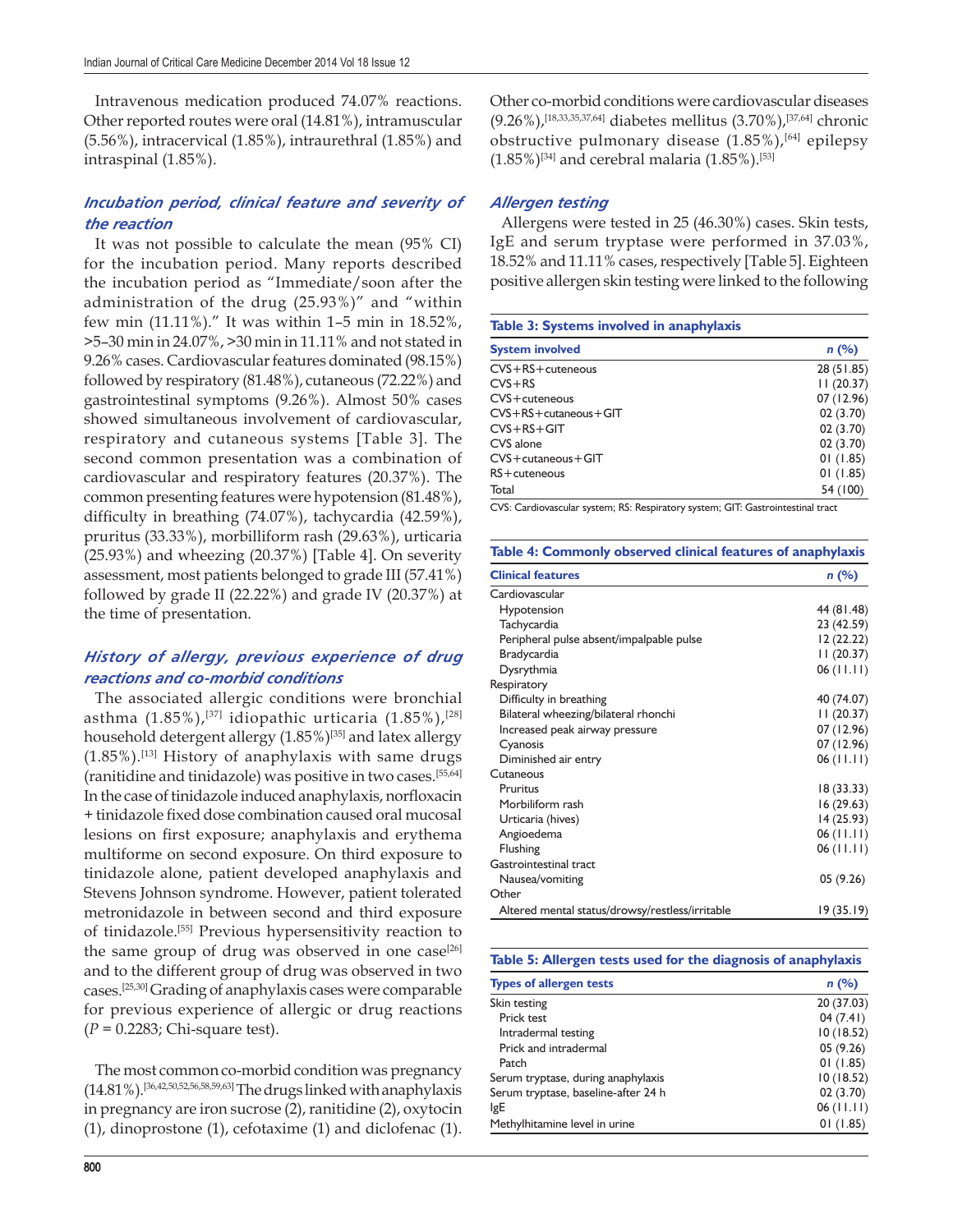Intravenous medication produced 74.07% reactions. Other reported routes were oral (14.81%), intramuscular (5.56%), intracervical (1.85%), intraurethral (1.85%) and intraspinal (1.85%).

## *Incubation period, clinical feature and severity of the reaction*

It was not possible to calculate the mean (95% CI) for the incubation period. Many reports described the incubation period as "Immediate/soon after the administration of the drug (25.93%)" and "within few min (11.11%)." It was within 1–5 min in 18.52%, >5–30 min in 24.07%, >30 min in 11.11% and not stated in 9.26% cases. Cardiovascular features dominated (98.15%) followed by respiratory (81.48%), cutaneous (72.22%) and gastrointestinal symptoms (9.26%). Almost 50% cases showed simultaneous involvement of cardiovascular, respiratory and cutaneous systems [Table 3]. The second common presentation was a combination of cardiovascular and respiratory features (20.37%). The common presenting features were hypotension (81.48%), difficulty in breathing  $(74.07%)$ , tachycardia  $(42.59%)$ , pruritus (33.33%), morbilliform rash (29.63%), urticaria (25.93%) and wheezing (20.37%) [Table 4]. On severity assessment, most patients belonged to grade III (57.41%) followed by grade II (22.22%) and grade IV (20.37%) at the time of presentation.

# *History of allergy, previous experience of drug reactions and co-morbid conditions*

The associated allergic conditions were bronchial asthma  $(1.85\%)$ ,<sup>[37]</sup> idiopathic urticaria  $(1.85\%)$ ,<sup>[28]</sup> household detergent allergy (1.85%)<sup>[35]</sup> and latex allergy  $(1.85\%)$ .<sup>[13]</sup> History of anaphylaxis with same drugs (ranitidine and tinidazole) was positive in two cases.[55,64] In the case of tinidazole induced anaphylaxis, norfloxacin + tinidazole fixed dose combination caused oral mucosal lesions on first exposure; anaphylaxis and erythema multiforme on second exposure. On third exposure to tinidazole alone, patient developed anaphylaxis and Stevens Johnson syndrome. However, patient tolerated metronidazole in between second and third exposure of tinidazole.[55] Previous hypersensitivity reaction to the same group of drug was observed in one case<sup>[26]</sup> and to the different group of drug was observed in two cases.[25,30] Grading of anaphylaxis cases were comparable for previous experience of allergic or drug reactions (*P* = 0.2283; Chi-square test).

The most common co-morbid condition was pregnancy (14.81%).[36,42,50,52,56,58,59,63] The drugs linked with anaphylaxis in pregnancy are iron sucrose (2), ranitidine (2), oxytocin (1), dinoprostone (1), cefotaxime (1) and diclofenac (1). Other co-morbid conditions were cardiovascular diseases (9.26%),[18,33,35,37,64] diabetes mellitus (3.70%),[37,64] chronic obstructive pulmonary disease  $(1.85\%)$ , <sup>[64]</sup> epilepsy  $(1.85\%)^{[34]}$  and cerebral malaria  $(1.85\%)^{[53]}$ 

### *Allergen testing*

Allergens were tested in 25 (46.30%) cases. Skin tests, IgE and serum tryptase were performed in 37.03%, 18.52% and 11.11% cases, respectively [Table 5]. Eighteen positive allergen skin testing were linked to the following

#### **Table 3: Systems involved in anaphylaxis**

| <b>System involved</b>       | n(%)      |
|------------------------------|-----------|
| $CVS + RS + cut$ eneous      | 28(51.85) |
| $CVS + RS$                   | 11(20.37) |
| CVS+cuteneous                | 07(12.96) |
| $CVS + RS + cutaneous + GIT$ | 02(3.70)  |
| $CVS + RS + GIT$             | 02 (3.70) |
| CVS alone                    | 02 (3.70) |
| $CVS+cutaneous+GIT$          | 01(1.85)  |
| RS+cuteneous                 | 01(1.85)  |
| Total                        | 54 (100)  |

CVS: Cardiovascular system; RS: Respiratory system; GIT: Gastrointestinal tract

**Table 4: Commonly observed clinical features of anaphylaxis**

| <b>Clinical features</b>                        | n (%)      |  |
|-------------------------------------------------|------------|--|
| Cardiovascular                                  |            |  |
| Hypotension                                     | 44 (81.48) |  |
| Tachycardia                                     | 23 (42.59) |  |
| Peripheral pulse absent/impalpable pulse        | 12(22.22)  |  |
| Bradycardia                                     | 11(20.37)  |  |
| Dysrythmia                                      | 06 (11.11) |  |
| Respiratory                                     |            |  |
| Difficulty in breathing                         | 40 (74.07) |  |
| Bilateral wheezing/bilateral rhonchi            | 11(20.37)  |  |
| Increased peak airway pressure                  | 07(12.96)  |  |
| Cyanosis                                        | 07(12.96)  |  |
| Diminished air entry                            | 06(11.11)  |  |
| Cutaneous                                       |            |  |
| Pruritus                                        | 18(33.33)  |  |
| Morbiliform rash                                | 16(29.63)  |  |
| Urticaria (hives)                               | 14 (25.93) |  |
| Angioedema                                      | 06 (11.11) |  |
| Flushing                                        | 06 (11.11) |  |
| Gastrointestinal tract                          |            |  |
| Nausea/vomiting                                 | 05 (9.26)  |  |
| Other                                           |            |  |
| Altered mental status/drowsy/restless/irritable | 19(35.19)  |  |

**Table 5: Allergen tests used for the diagnosis of anaphylaxis**

| <b>Types of allergen tests</b>      | n(%)       |
|-------------------------------------|------------|
| Skin testing                        | 20(37.03)  |
| Prick test                          | 04(7.41)   |
| Intradermal testing                 | 10(18.52)  |
| Prick and intradermal               | 05 (9.26)  |
| Patch                               | 01(1.85)   |
| Serum tryptase, during anaphylaxis  | 10(18.52)  |
| Serum tryptase, baseline-after 24 h | 02(3.70)   |
| lgE                                 | 06 (11.11) |
| Methylhitamine level in urine       | 01(1.85)   |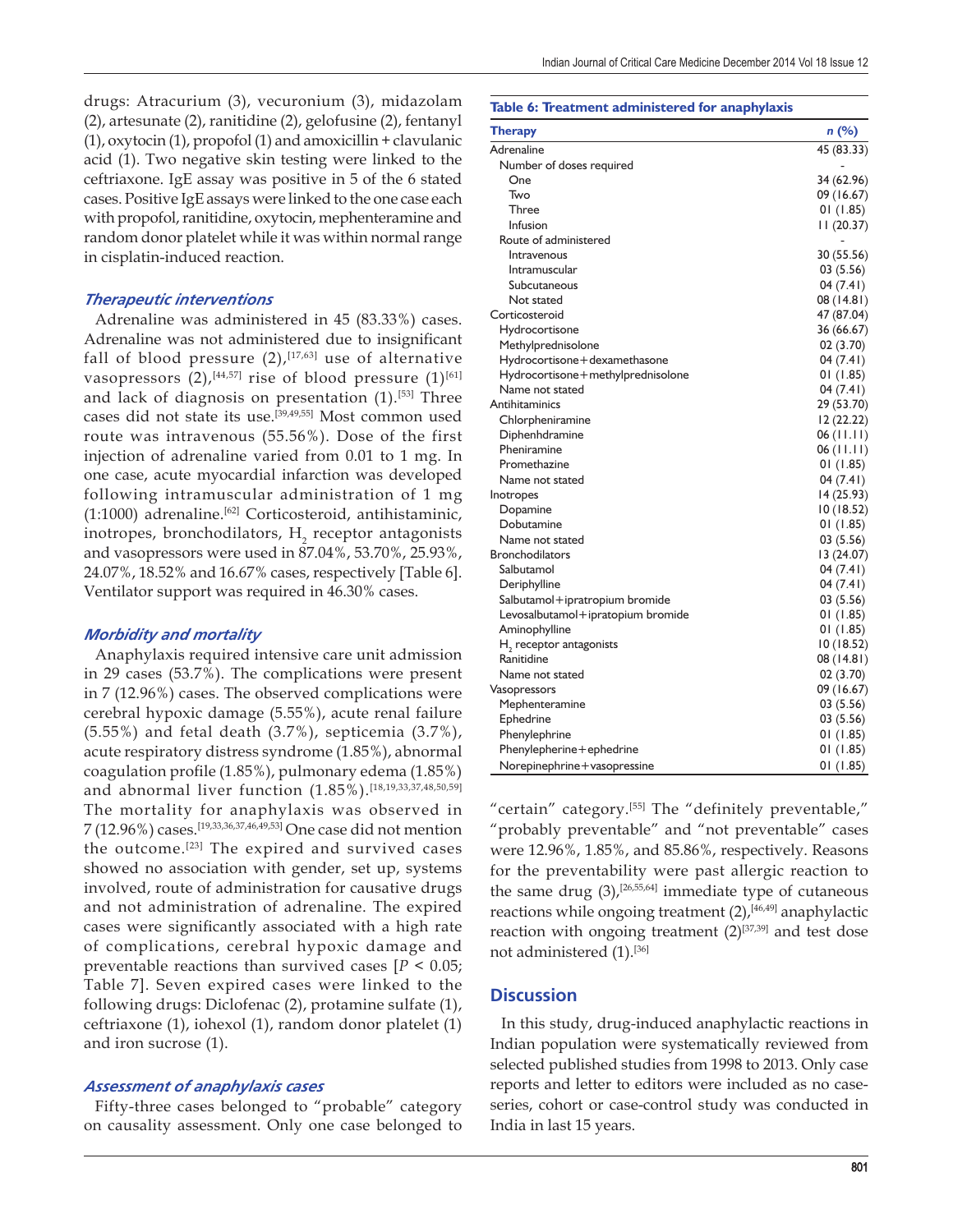drugs: Atracurium (3), vecuronium (3), midazolam (2), artesunate (2), ranitidine (2), gelofusine (2), fentanyl (1), oxytocin (1), propofol (1) and amoxicillin + clavulanic acid (1). Two negative skin testing were linked to the ceftriaxone. IgE assay was positive in 5 of the 6 stated cases. Positive IgE assays were linked to the one case each with propofol, ranitidine, oxytocin, mephenteramine and random donor platelet while it was within normal range in cisplatin-induced reaction.

#### *Therapeutic interventions*

Adrenaline was administered in 45 (83.33%) cases. Adrenaline was not administered due to insignificant fall of blood pressure  $(2)$ , [17,63] use of alternative vasopressors  $(2)$ ,  $[44,57]$  rise of blood pressure  $(1)^{[61]}$ and lack of diagnosis on presentation  $(1).$ <sup>[53]</sup> Three cases did not state its use.[39,49,55] Most common used route was intravenous (55.56%). Dose of the first injection of adrenaline varied from 0.01 to 1 mg. In one case, acute myocardial infarction was developed following intramuscular administration of 1 mg (1:1000) adrenaline.<sup>[62]</sup> Corticosteroid, antihistaminic, inotropes, bronchodilators,  ${\rm H}_{\rm _2}$  receptor antagonists and vasopressors were used in 87.04%, 53.70%, 25.93%, 24.07%, 18.52% and 16.67% cases, respectively [Table 6]. Ventilator support was required in 46.30% cases.

#### *Morbidity and mortality*

Anaphylaxis required intensive care unit admission in 29 cases (53.7%). The complications were present in 7 (12.96%) cases. The observed complications were cerebral hypoxic damage (5.55%), acute renal failure (5.55%) and fetal death (3.7%), septicemia (3.7%), acute respiratory distress syndrome (1.85%), abnormal coagulation profile (1.85%), pulmonary edema (1.85%) and abnormal liver function  $(1.85\%)$ .<sup>[18,19,33,37,48,50,59]</sup> The mortality for anaphylaxis was observed in 7 (12.96%) cases.[19,33,36,37,46,49,53] One case did not mention the outcome.[23] The expired and survived cases showed no association with gender, set up, systems involved, route of administration for causative drugs and not administration of adrenaline. The expired cases were significantly associated with a high rate of complications, cerebral hypoxic damage and preventable reactions than survived cases [*P* < 0.05; Table 7]. Seven expired cases were linked to the following drugs: Diclofenac (2), protamine sulfate (1), ceftriaxone (1), iohexol (1), random donor platelet (1) and iron sucrose (1).

#### *Assessment of anaphylaxis cases*

Fifty-three cases belonged to "probable" category on causality assessment. Only one case belonged to

#### **Table 6: Treatment administered for anaphylaxis**

| Therapy                             | n(%)         |
|-------------------------------------|--------------|
| Adrenaline                          | 45 (83.33)   |
| Number of doses required            |              |
| One                                 | 34 (62.96)   |
| Two                                 | 09 (16.67)   |
| Three                               | 01(1.85)     |
| Infusion                            | II (20.37)   |
| Route of administered               |              |
| Intravenous                         | 30 (55.56)   |
| Intramuscular                       | 03 (5.56)    |
| Subcutaneous                        | 04(7.41)     |
| Not stated                          | 08(14.81)    |
| Corticosteroid                      | 47 (87.04)   |
| Hydrocortisone                      | 36 (66.67)   |
| Methylprednisolone                  | 02 (3.70)    |
| Hydrocortisone+dexamethasone        | 04(7.41)     |
| Hydrocortisone + methylprednisolone | 01(1.85)     |
| Name not stated                     | 04 (7.41)    |
| Antihitaminics                      | 29 (53.70)   |
| Chlorpheniramine                    | 12(22.22)    |
| Diphenhdramine                      | $06$ (11.11) |
| Pheniramine                         | 06(11.11)    |
| Promethazine                        | 01(1.85)     |
| Name not stated                     | 04 (7.41)    |
| Inotropes                           | 14 (25.93)   |
| Dopamine                            | 10 (18.52)   |
| Dobutamine                          | 01(1.85)     |
| Name not stated                     | 03 (5.56)    |
| <b>Bronchodilators</b>              | 13 (24.07)   |
| Salbutamol                          | 04(7.41)     |
| Deriphylline                        | 04(7.41)     |
| Salbutamol+ipratropium bromide      | 03 (5.56)    |
| Levosalbutamol+ipratopium bromide   | 01(1.85)     |
| Aminophylline                       | 01 (1.85)    |
| H <sub>2</sub> receptor antagonists | 10 (18.52)   |
| Ranitidine                          | 08 (14.81)   |
| Name not stated                     | 02 (3.70)    |
| Vasopressors                        | 09 (16.67)   |
| Mephenteramine                      | 03(5.56)     |
| Ephedrine                           | 03 (5.56)    |
| Phenylephrine                       | 01 (1.85)    |
| Phenylepherine+ephedrine            | 01 (1.85)    |
| Norepinephrine+vasopressine         | 01(1.85)     |

"certain" category.[55] The "definitely preventable," "probably preventable" and "not preventable" cases were 12.96%, 1.85%, and 85.86%, respectively. Reasons for the preventability were past allergic reaction to the same drug  $(3)$ ,  $[26,55,64]$  immediate type of cutaneous reactions while ongoing treatment  $(2)$ , [46,49] anaphylactic reaction with ongoing treatment  $(2)^{[37,39]}$  and test dose not administered (1).[36]

### **Discussion**

In this study, drug-induced anaphylactic reactions in Indian population were systematically reviewed from selected published studies from 1998 to 2013. Only case reports and letter to editors were included as no caseseries, cohort or case-control study was conducted in India in last 15 years.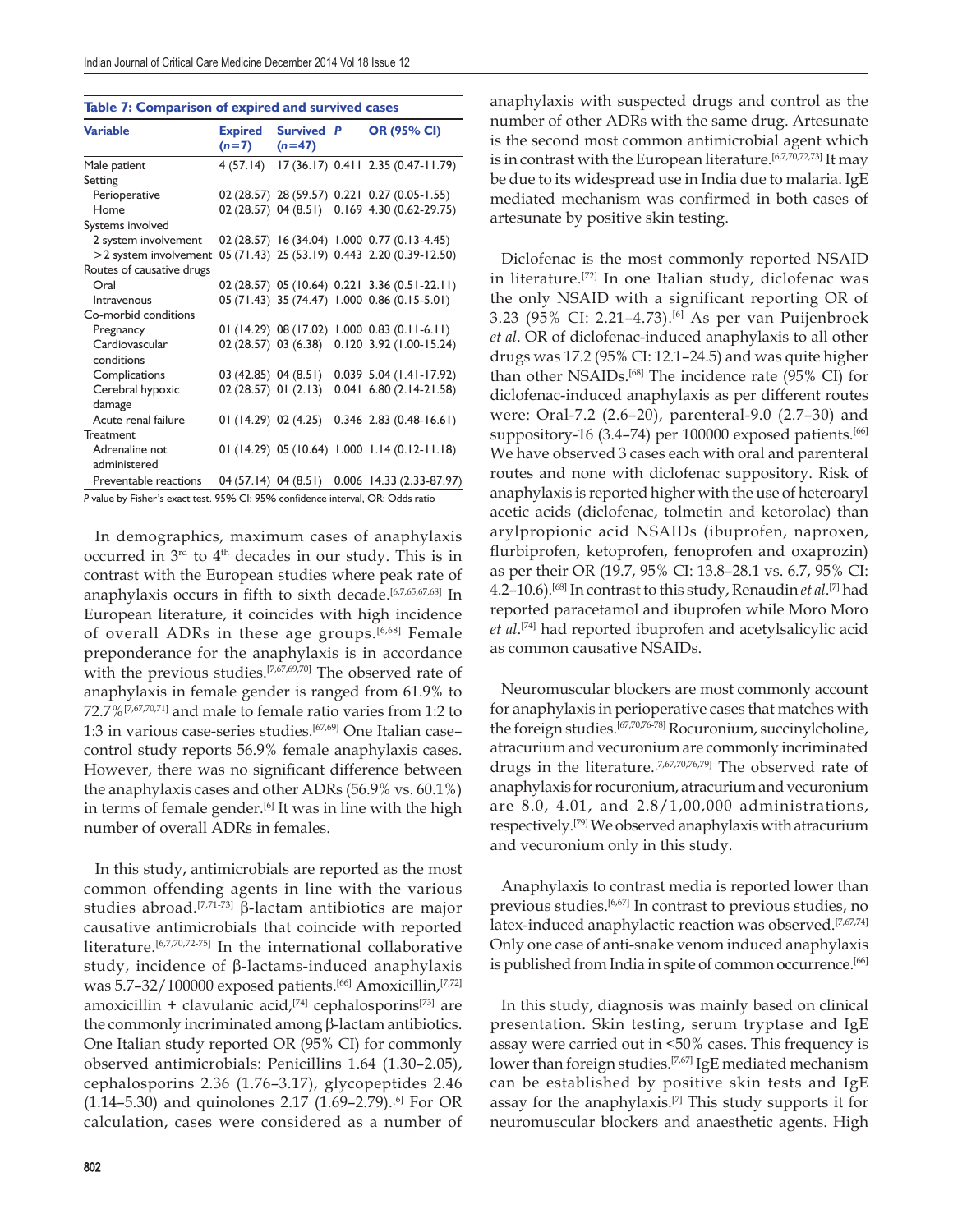| Table 7: Comparison of expired and survived cases |  |  |
|---------------------------------------------------|--|--|
|                                                   |  |  |

| <b>Variable</b>           | Expired<br>$(n=7)$ | <b>Survived P</b><br>$(n=47)$ | <b>OR (95% CI)</b>                            |
|---------------------------|--------------------|-------------------------------|-----------------------------------------------|
| Male patient              | 4(57.14)           |                               | 17 (36.17) 0.411 2.35 (0.47-11.79)            |
| Setting                   |                    |                               |                                               |
| Perioperative             |                    |                               | 02 (28.57) 28 (59.57) 0.221 0.27 (0.05-1.55)  |
| Home                      |                    |                               | 02 (28.57) 04 (8.51) 0.169 4.30 (0.62-29.75)  |
| Systems involved          |                    |                               |                                               |
| 2 system involvement      |                    |                               | 02 (28.57) 16 (34.04) 1.000 0.77 (0.13-4.45)  |
| >2 system involvement     |                    |                               | 05 (71.43) 25 (53.19) 0.443 2.20 (0.39-12.50) |
| Routes of causative drugs |                    |                               |                                               |
| Oral                      |                    |                               | 02 (28.57) 05 (10.64) 0.221 3.36 (0.51-22.11) |
| Intravenous               |                    |                               | 05 (71.43) 35 (74.47) 1.000 0.86 (0.15-5.01)  |
| Co-morbid conditions      |                    |                               |                                               |
| Pregnancy                 |                    |                               | $01(14.29) 08(17.02) 1.000 0.83(0.11-6.11)$   |
| Cardiovascular            |                    |                               | 02 (28.57) 03 (6.38) 0.120 3.92 (1.00-15.24)  |
| conditions                |                    |                               |                                               |
| Complications             |                    | $03(42.85)$ 04 (8.51)         | $0.039$ 5.04 (1.41-17.92)                     |
| Cerebral hypoxic          |                    | $02(28.57)$ 01 $(2.13)$       | $0.041$ 6.80 (2.14-21.58)                     |
| damage                    |                    |                               |                                               |
| Acute renal failure       |                    | 01(14.29) 02(4.25)            | $0.346$ 2.83 (0.48-16.61)                     |
| Treatment                 |                    |                               |                                               |
| Adrenaline not            |                    |                               | 01 (14.29) 05 (10.64) 1.000 1.14 (0.12-11.18) |
| administered              |                    |                               |                                               |
| Preventable reactions     |                    |                               | 04 (57.14) 04 (8.51) 0.006 14.33 (2.33-87.97) |

In demographics, maximum cases of anaphylaxis occurred in  $3<sup>rd</sup>$  to  $4<sup>th</sup>$  decades in our study. This is in contrast with the European studies where peak rate of anaphylaxis occurs in fifth to sixth decade.<sup>[6,7,65,67,68]</sup> In European literature, it coincides with high incidence of overall ADRs in these age groups.[6,68] Female preponderance for the anaphylaxis is in accordance with the previous studies.[7,67,69,70] The observed rate of anaphylaxis in female gender is ranged from 61.9% to 72.7%[7,67,70,71] and male to female ratio varies from 1:2 to 1:3 in various case-series studies.[67,69] One Italian case– control study reports 56.9% female anaphylaxis cases. However, there was no significant difference between the anaphylaxis cases and other ADRs (56.9% vs. 60.1%) in terms of female gender.<sup>[6]</sup> It was in line with the high number of overall ADRs in females.

In this study, antimicrobials are reported as the most common offending agents in line with the various studies abroad.<sup>[7,71-73]</sup>  $\beta$ -lactam antibiotics are major causative antimicrobials that coincide with reported literature.[6,7,70,72-75] In the international collaborative study, incidence of  $\beta$ -lactams-induced anaphylaxis was 5.7-32/100000 exposed patients.<sup>[66]</sup> Amoxicillin,<sup>[7,72]</sup> amoxicillin + clavulanic acid,<sup>[74]</sup> cephalosporins<sup>[73]</sup> are the commonly incriminated among  $\beta$ -lactam antibiotics. One Italian study reported OR (95% CI) for commonly observed antimicrobials: Penicillins 1.64 (1.30–2.05), cephalosporins 2.36 (1.76–3.17), glycopeptides 2.46 (1.14–5.30) and quinolones 2.17 (1.69–2.79).<sup>[6]</sup> For OR calculation, cases were considered as a number of anaphylaxis with suspected drugs and control as the number of other ADRs with the same drug. Artesunate is the second most common antimicrobial agent which is in contrast with the European literature.[6,7,70,72,73] It may be due to its widespread use in India due to malaria. IgE mediated mechanism was confirmed in both cases of artesunate by positive skin testing.

Diclofenac is the most commonly reported NSAID in literature.[72] In one Italian study, diclofenac was the only NSAID with a significant reporting OR of 3.23 (95% CI: 2.21–4.73).[6] As per van Puijenbroek *et al*. OR of diclofenac-induced anaphylaxis to all other drugs was 17.2 (95% CI: 12.1–24.5) and was quite higher than other NSAIDs.[68] The incidence rate (95% CI) for diclofenac-induced anaphylaxis as per different routes were: Oral-7.2 (2.6–20), parenteral-9.0 (2.7–30) and suppository-16 (3.4–74) per 100000 exposed patients.<sup>[66]</sup> We have observed 3 cases each with oral and parenteral routes and none with diclofenac suppository. Risk of anaphylaxis is reported higher with the use of heteroaryl acetic acids (diclofenac, tolmetin and ketorolac) than arylpropionic acid NSAIDs (ibuprofen, naproxen, flurbiprofen, ketoprofen, fenoprofen and oxaprozin) as per their OR (19.7, 95% CI: 13.8–28.1 vs. 6.7, 95% CI: 4.2–10.6).[68] In contrast to this study, Renaudin *et al*. [7] had reported paracetamol and ibuprofen while Moro Moro *et al*. [74] had reported ibuprofen and acetylsalicylic acid as common causative NSAIDs.

Neuromuscular blockers are most commonly account for anaphylaxis in perioperative cases that matches with the foreign studies.[67,70,76-78] Rocuronium, succinylcholine, atracurium and vecuronium are commonly incriminated drugs in the literature.[7,67,70,76,79] The observed rate of anaphylaxis for rocuronium, atracurium and vecuronium are 8.0, 4.01, and 2.8/1,00,000 administrations, respectively.[79] We observed anaphylaxis with atracurium and vecuronium only in this study.

Anaphylaxis to contrast media is reported lower than previous studies.[6,67] In contrast to previous studies, no latex-induced anaphylactic reaction was observed.[7,67,74] Only one case of anti-snake venom induced anaphylaxis is published from India in spite of common occurrence.<sup>[66]</sup>

In this study, diagnosis was mainly based on clinical presentation. Skin testing, serum tryptase and IgE assay were carried out in <50% cases. This frequency is lower than foreign studies.<sup>[7,67]</sup> IgE mediated mechanism can be established by positive skin tests and IgE assay for the anaphylaxis.[7] This study supports it for neuromuscular blockers and anaesthetic agents. High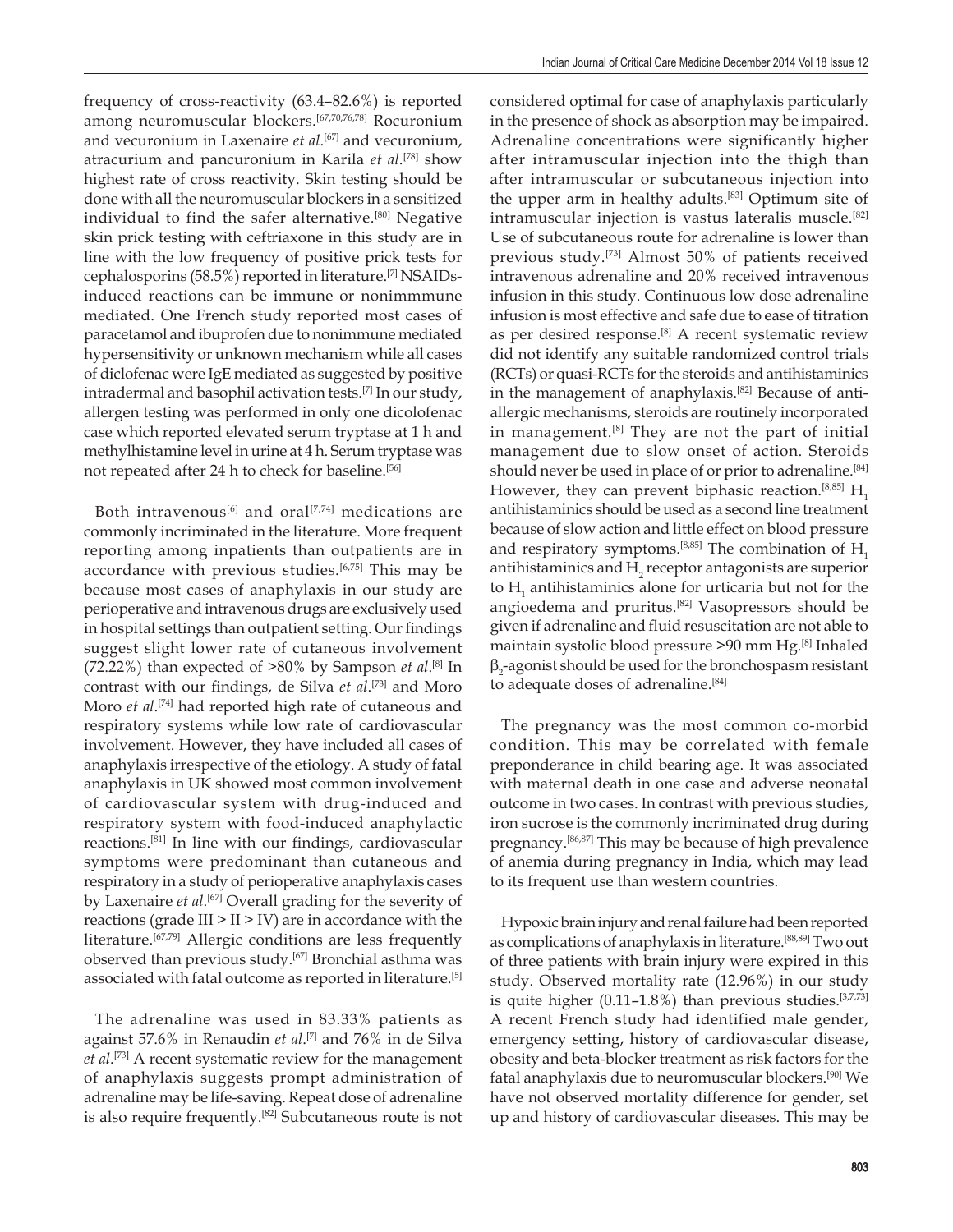frequency of cross-reactivity (63.4–82.6%) is reported among neuromuscular blockers.[67,70,76,78] Rocuronium and vecuronium in Laxenaire *et al*. [67] and vecuronium, atracurium and pancuronium in Karila *et al*. [78] show highest rate of cross reactivity. Skin testing should be done with all the neuromuscular blockers in a sensitized individual to find the safer alternative.<sup>[80]</sup> Negative skin prick testing with ceftriaxone in this study are in line with the low frequency of positive prick tests for cephalosporins (58.5%) reported in literature.[7] NSAIDsinduced reactions can be immune or nonimmmune mediated. One French study reported most cases of paracetamol and ibuprofen due to nonimmune mediated hypersensitivity or unknown mechanism while all cases of diclofenac were IgE mediated as suggested by positive intradermal and basophil activation tests.[7] In our study, allergen testing was performed in only one dicolofenac case which reported elevated serum tryptase at 1 h and methylhistamine level in urine at 4 h. Serum tryptase was not repeated after 24 h to check for baseline.<sup>[56]</sup>

Both intravenous<sup>[6]</sup> and oral<sup>[7,74]</sup> medications are commonly incriminated in the literature. More frequent reporting among inpatients than outpatients are in accordance with previous studies.[6,75] This may be because most cases of anaphylaxis in our study are perioperative and intravenous drugs are exclusively used in hospital settings than outpatient setting. Our findings suggest slight lower rate of cutaneous involvement (72.22%) than expected of >80% by Sampson *et al*. [8] In contrast with our findings, de Silva *et al*.<sup>[73]</sup> and Moro Moro *et al*. [74] had reported high rate of cutaneous and respiratory systems while low rate of cardiovascular involvement. However, they have included all cases of anaphylaxis irrespective of the etiology. A study of fatal anaphylaxis in UK showed most common involvement of cardiovascular system with drug-induced and respiratory system with food-induced anaphylactic reactions.<sup>[81]</sup> In line with our findings, cardiovascular symptoms were predominant than cutaneous and respiratory in a study of perioperative anaphylaxis cases by Laxenaire *et al*. [67] Overall grading for the severity of reactions (grade III > II > IV) are in accordance with the literature.[67,79] Allergic conditions are less frequently observed than previous study.[67] Bronchial asthma was associated with fatal outcome as reported in literature.<sup>[5]</sup>

The adrenaline was used in 83.33% patients as against 57.6% in Renaudin *et al*. [7] and 76% in de Silva *et al*. [73] A recent systematic review for the management of anaphylaxis suggests prompt administration of adrenaline may be life-saving. Repeat dose of adrenaline is also require frequently.[82] Subcutaneous route is not

considered optimal for case of anaphylaxis particularly in the presence of shock as absorption may be impaired. Adrenaline concentrations were significantly higher after intramuscular injection into the thigh than after intramuscular or subcutaneous injection into the upper arm in healthy adults.[83] Optimum site of intramuscular injection is vastus lateralis muscle.[82] Use of subcutaneous route for adrenaline is lower than previous study.[73] Almost 50% of patients received intravenous adrenaline and 20% received intravenous infusion in this study. Continuous low dose adrenaline infusion is most effective and safe due to ease of titration as per desired response.[8] A recent systematic review did not identify any suitable randomized control trials (RCTs) or quasi-RCTs for the steroids and antihistaminics in the management of anaphylaxis.[82] Because of antiallergic mechanisms, steroids are routinely incorporated in management.<sup>[8]</sup> They are not the part of initial management due to slow onset of action. Steroids should never be used in place of or prior to adrenaline.<sup>[84]</sup> However, they can prevent biphasic reaction.<sup>[8,85]</sup>  $H_1$ antihistaminics should be used as a second line treatment because of slow action and little effect on blood pressure and respiratory symptoms.<sup>[8,85]</sup> The combination of  $H_1$ antihistaminics and  $H_2$  receptor antagonists are superior to  $H_1$  antihistaminics alone for urticaria but not for the angioedema and pruritus.[82] Vasopressors should be given if adrenaline and fluid resuscitation are not able to maintain systolic blood pressure >90 mm Hg.[8] Inhaled  $\beta_2$ -agonist should be used for the bronchospasm resistant to adequate doses of adrenaline.[84]

The pregnancy was the most common co-morbid condition. This may be correlated with female preponderance in child bearing age. It was associated with maternal death in one case and adverse neonatal outcome in two cases. In contrast with previous studies, iron sucrose is the commonly incriminated drug during pregnancy.[86,87] This may be because of high prevalence of anemia during pregnancy in India, which may lead to its frequent use than western countries.

Hypoxic brain injury and renal failure had been reported as complications of anaphylaxis in literature.[88,89] Two out of three patients with brain injury were expired in this study. Observed mortality rate (12.96%) in our study is quite higher (0.11–1.8%) than previous studies.[3,7,73] A recent French study had identified male gender, emergency setting, history of cardiovascular disease, obesity and beta-blocker treatment as risk factors for the fatal anaphylaxis due to neuromuscular blockers.[90] We have not observed mortality difference for gender, set up and history of cardiovascular diseases. This may be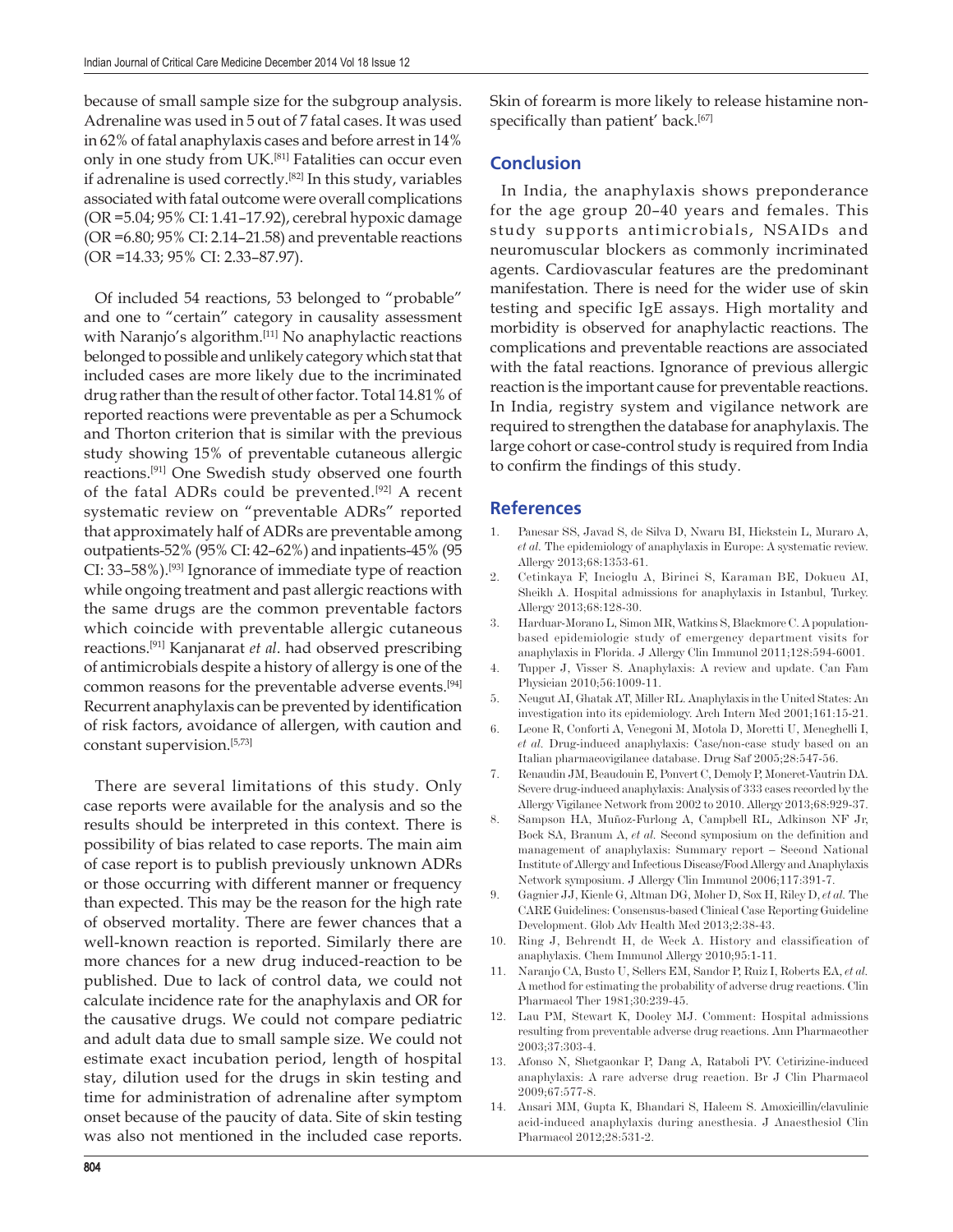because of small sample size for the subgroup analysis. Adrenaline was used in 5 out of 7 fatal cases. It was used in 62% of fatal anaphylaxis cases and before arrest in 14% only in one study from UK.[81] Fatalities can occur even if adrenaline is used correctly.<sup>[82]</sup> In this study, variables associated with fatal outcome were overall complications (OR =5.04; 95% CI: 1.41–17.92), cerebral hypoxic damage (OR =6.80; 95% CI: 2.14–21.58) and preventable reactions (OR =14.33; 95% CI: 2.33–87.97).

Of included 54 reactions, 53 belonged to "probable" and one to "certain" category in causality assessment with Naranjo's algorithm.<sup>[11]</sup> No anaphylactic reactions belonged to possible and unlikely category which stat that included cases are more likely due to the incriminated drug rather than the result of other factor. Total 14.81% of reported reactions were preventable as per a Schumock and Thorton criterion that is similar with the previous study showing 15% of preventable cutaneous allergic reactions.[91] One Swedish study observed one fourth of the fatal ADRs could be prevented.<sup>[92]</sup> A recent systematic review on "preventable ADRs" reported that approximately half of ADRs are preventable among outpatients-52% (95% CI: 42–62%) and inpatients-45% (95 CI: 33–58%).[93] Ignorance of immediate type of reaction while ongoing treatment and past allergic reactions with the same drugs are the common preventable factors which coincide with preventable allergic cutaneous reactions.[91] Kanjanarat *et al*. had observed prescribing of antimicrobials despite a history of allergy is one of the common reasons for the preventable adverse events.[94] Recurrent anaphylaxis can be prevented by identification of risk factors, avoidance of allergen, with caution and constant supervision.[5,73]

There are several limitations of this study. Only case reports were available for the analysis and so the results should be interpreted in this context. There is possibility of bias related to case reports. The main aim of case report is to publish previously unknown ADRs or those occurring with different manner or frequency than expected. This may be the reason for the high rate of observed mortality. There are fewer chances that a well-known reaction is reported. Similarly there are more chances for a new drug induced-reaction to be published. Due to lack of control data, we could not calculate incidence rate for the anaphylaxis and OR for the causative drugs. We could not compare pediatric and adult data due to small sample size. We could not estimate exact incubation period, length of hospital stay, dilution used for the drugs in skin testing and time for administration of adrenaline after symptom onset because of the paucity of data. Site of skin testing was also not mentioned in the included case reports.

804

Skin of forearm is more likely to release histamine nonspecifically than patient' back.<sup>[67]</sup>

### **Conclusion**

In India, the anaphylaxis shows preponderance for the age group 20–40 years and females. This study supports antimicrobials, NSAIDs and neuromuscular blockers as commonly incriminated agents. Cardiovascular features are the predominant manifestation. There is need for the wider use of skin testing and specific IgE assays. High mortality and morbidity is observed for anaphylactic reactions. The complications and preventable reactions are associated with the fatal reactions. Ignorance of previous allergic reaction is the important cause for preventable reactions. In India, registry system and vigilance network are required to strengthen the database for anaphylaxis. The large cohort or case-control study is required from India to confirm the findings of this study.

### **References**

- 1. Panesar SS, Javad S, de Silva D, Nwaru BI, Hickstein L, Muraro A, *et al.* The epidemiology of anaphylaxis in Europe: A systematic review. Allergy 2013;68:1353-61.
- 2. Cetinkaya F, Incioglu A, Birinci S, Karaman BE, Dokucu AI, Sheikh A. Hospital admissions for anaphylaxis in Istanbul, Turkey. Allergy 2013;68:128-30.
- 3. Harduar-Morano L, Simon MR, Watkins S, Blackmore C. A populationbased epidemiologic study of emergency department visits for anaphylaxis in Florida. J Allergy Clin Immunol 2011;128:594-6001.
- 4. Tupper J, Visser S. Anaphylaxis: A review and update. Can Fam Physician 2010;56:1009-11.
- 5. Neugut AI, Ghatak AT, Miller RL. Anaphylaxis in the United States: An investigation into its epidemiology. Arch Intern Med 2001;161:15-21.
- 6. Leone R, Conforti A, Venegoni M, Motola D, Moretti U, Meneghelli I, *et al.* Drug-induced anaphylaxis: Case/non-case study based on an Italian pharmacovigilance database. Drug Saf 2005;28:547-56.
- 7. Renaudin JM, Beaudouin E, Ponvert C, Demoly P, Moneret-Vautrin DA. Severe drug-induced anaphylaxis: Analysis of 333 cases recorded by the Allergy Vigilance Network from 2002 to 2010. Allergy 2013;68:929-37.
- 8. Sampson HA, Muñoz-Furlong A, Campbell RL, Adkinson NF Jr, Bock SA, Branum A, *et al.* Second symposium on the definition and management of anaphylaxis: Summary report – Second National Institute of Allergy and Infectious Disease/Food Allergy and Anaphylaxis Network symposium. J Allergy Clin Immunol 2006;117:391-7.
- 9. Gagnier JJ, Kienle G, Altman DG, Moher D, Sox H, Riley D, *et al.* The CARE Guidelines: Consensus-based Clinical Case Reporting Guideline Development. Glob Adv Health Med 2013;2:38-43.
- 10. Ring J, Behrendt H, de Weck A. History and classification of anaphylaxis. Chem Immunol Allergy 2010;95:1-11.
- 11. Naranjo CA, Busto U, Sellers EM, Sandor P, Ruiz I, Roberts EA, *et al.*  A method for estimating the probability of adverse drug reactions. Clin Pharmacol Ther 1981;30:239-45.
- 12. Lau PM, Stewart K, Dooley MJ. Comment: Hospital admissions resulting from preventable adverse drug reactions. Ann Pharmacother 2003;37:303-4.
- 13. Afonso N, Shetgaonkar P, Dang A, Rataboli PV. Cetirizine-induced anaphylaxis: A rare adverse drug reaction. Br J Clin Pharmacol 2009;67:577-8.
- 14. Ansari MM, Gupta K, Bhandari S, Haleem S. Amoxicillin/clavulinic acid-induced anaphylaxis during anesthesia. J Anaesthesiol Clin Pharmacol 2012;28:531-2.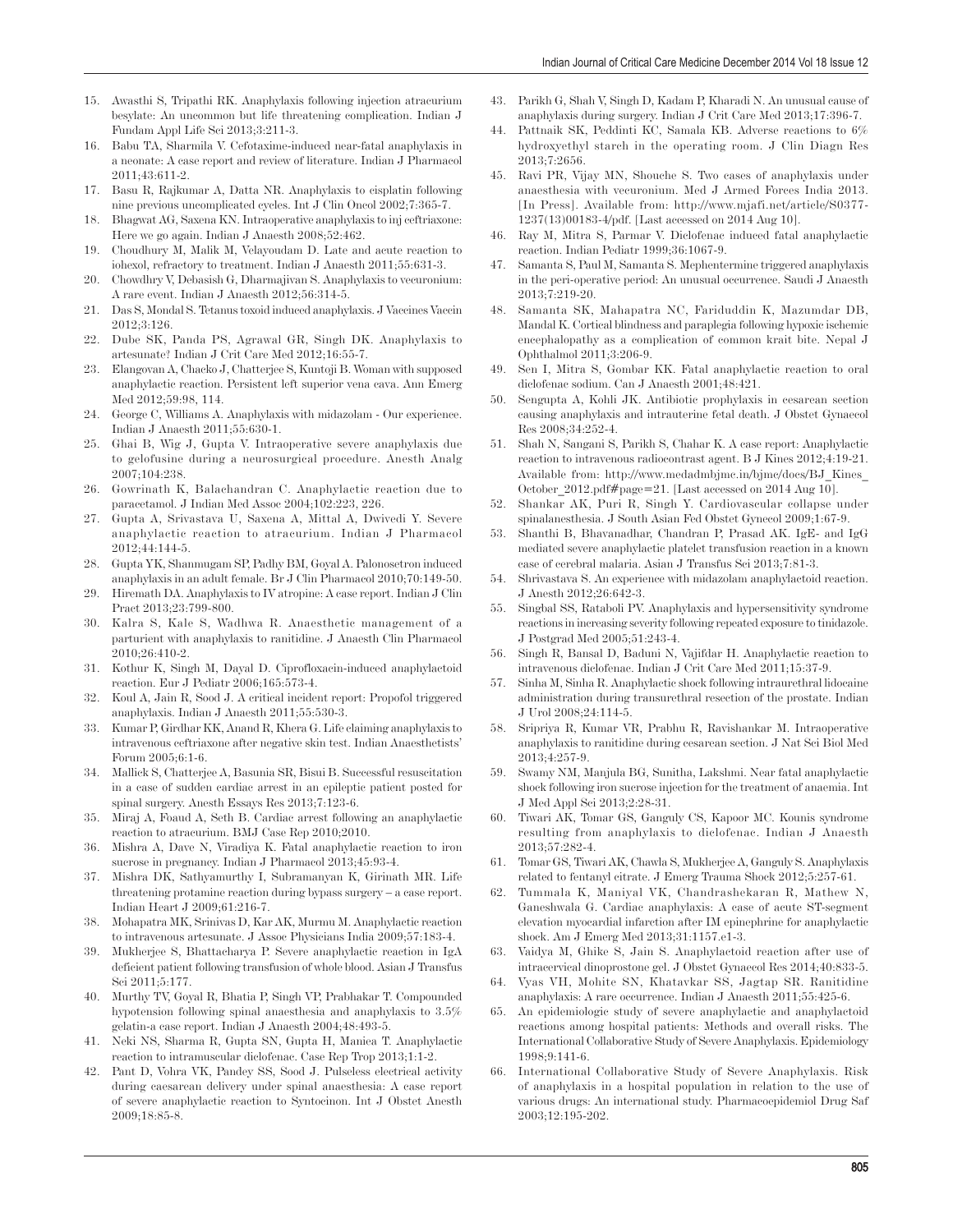- 15. Awasthi S, Tripathi RK. Anaphylaxis following injection atracurium besylate: An uncommon but life threatening complication. Indian J Fundam Appl Life Sci 2013;3:211-3.
- 16. Babu TA, Sharmila V. Cefotaxime-induced near-fatal anaphylaxis in a neonate: A case report and review of literature. Indian J Pharmacol 2011;43:611-2.
- 17. Basu R, Rajkumar A, Datta NR. Anaphylaxis to cisplatin following nine previous uncomplicated cycles. Int J Clin Oncol 2002;7:365-7.
- 18. Bhagwat AG, Saxena KN. Intraoperative anaphylaxis to inj ceftriaxone: Here we go again. Indian J Anaesth 2008;52:462.
- 19. Choudhury M, Malik M, Velayoudam D. Late and acute reaction to iohexol, refractory to treatment. Indian J Anaesth 2011;55:631-3.
- 20. Chowdhry V, Debasish G, Dharmajivan S. Anaphylaxis to vecuronium: A rare event. Indian J Anaesth 2012;56:314-5.
- 21. Das S, Mondal S. Tetanus toxoid induced anaphylaxis. J Vaccines Vaccin 2012;3:126.
- 22. Dube SK, Panda PS, Agrawal GR, Singh DK. Anaphylaxis to artesunate? Indian J Crit Care Med 2012;16:55-7.
- 23. Elangovan A, Chacko J, Chatterjee S, Kuntoji B. Woman with supposed anaphylactic reaction. Persistent left superior vena cava. Ann Emerg Med 2012;59:98, 114.
- 24. George C, Williams A. Anaphylaxis with midazolam Our experience. Indian J Anaesth 2011;55:630-1.
- 25. Ghai B, Wig J, Gupta V. Intraoperative severe anaphylaxis due to gelofusine during a neurosurgical procedure. Anesth Analg 2007;104:238.
- 26. Gowrinath K, Balachandran C. Anaphylactic reaction due to paracetamol. J Indian Med Assoc 2004;102:223, 226.
- 27. Gupta A, Srivastava U, Saxena A, Mittal A, Dwivedi Y. Severe anaphylactic reaction to atracurium. Indian J Pharmacol 2012;44:144-5.
- 28. Gupta YK, Shanmugam SP, Padhy BM, Goyal A. Palonosetron induced anaphylaxis in an adult female. Br J Clin Pharmacol 2010;70:149-50.
- 29. Hiremath DA. Anaphylaxis to IV atropine: A case report. Indian J Clin Pract 2013;23:799-800.
- 30. Kalra S, Kale S, Wadhwa R. Anaesthetic management of a parturient with anaphylaxis to ranitidine. J Anaesth Clin Pharmacol 2010;26:410-2.
- 31. Kothur K, Singh M, Dayal D. Ciprofloxacin-induced anaphylactoid reaction. Eur J Pediatr 2006;165:573-4.
- 32. Koul A, Jain R, Sood J. A critical incident report: Propofol triggered anaphylaxis. Indian J Anaesth 2011;55:530-3.
- 33. Kumar P, Girdhar KK, Anand R, Khera G. Life claiming anaphylaxis to intravenous ceftriaxone after negative skin test. Indian Anaesthetists' Forum 2005;6:1-6.
- 34. Mallick S, Chatterjee A, Basunia SR, Bisui B. Successful resuscitation in a case of sudden cardiac arrest in an epileptic patient posted for spinal surgery. Anesth Essays Res 2013;7:123-6.
- 35. Miraj A, Foaud A, Seth B. Cardiac arrest following an anaphylactic reaction to atracurium. BMJ Case Rep 2010;2010.
- 36. Mishra A, Dave N, Viradiya K. Fatal anaphylactic reaction to iron sucrose in pregnancy. Indian J Pharmacol 2013;45:93-4.
- 37. Mishra DK, Sathyamurthy I, Subramanyan K, Girinath MR. Life threatening protamine reaction during bypass surgery – a case report. Indian Heart J 2009;61:216-7.
- 38. Mohapatra MK, Srinivas D, Kar AK, Murmu M. Anaphylactic reaction to intravenous artesunate. J Assoc Physicians India 2009;57:183-4.
- 39. Mukherjee S, Bhattacharya P. Severe anaphylactic reaction in IgA deficient patient following transfusion of whole blood. Asian J Transfus Sci 2011;5:177.
- 40. Murthy TV, Goyal R, Bhatia P, Singh VP, Prabhakar T. Compounded hypotension following spinal anaesthesia and anaphylaxis to 3.5% gelatin-a case report. Indian J Anaesth 2004;48:493-5.
- 41. Neki NS, Sharma R, Gupta SN, Gupta H, Maniea T. Anaphylactic reaction to intramuscular diclofenac. Case Rep Trop 2013;1:1-2.
- 42. Pant D, Vohra VK, Pandey SS, Sood J. Pulseless electrical activity during caesarean delivery under spinal anaesthesia: A case report of severe anaphylactic reaction to Syntocinon. Int J Obstet Anesth 2009;18:85-8.
- 43. Parikh G, Shah V, Singh D, Kadam P, Kharadi N. An unusual cause of anaphylaxis during surgery. Indian J Crit Care Med 2013;17:396-7.
- 44. Pattnaik SK, Peddinti KC, Samala KB. Adverse reactions to 6% hydroxyethyl starch in the operating room. J Clin Diagn Res 2013;7:2656.
- 45. Ravi PR, Vijay MN, Shouche S. Two cases of anaphylaxis under anaesthesia with vecuronium. Med J Armed Forces India 2013. [In Press]. Available from: http://www.mjafi.net/article/S0377- 1237(13)00183-4/pdf. [Last accessed on 2014 Aug 10].
- 46. Ray M, Mitra S, Parmar V. Diclofenac induced fatal anaphylactic reaction. Indian Pediatr 1999;36:1067-9.
- 47. Samanta S, Paul M, Samanta S. Mephentermine triggered anaphylaxis in the peri-operative period: An unusual occurrence. Saudi J Anaesth 2013;7:219-20.
- 48. Samanta SK, Mahapatra NC, Fariduddin K, Mazumdar DB, Mandal K. Cortical blindness and paraplegia following hypoxic ischemic encephalopathy as a complication of common krait bite. Nepal J Ophthalmol 2011;3:206-9.
- 49. Sen I, Mitra S, Gombar KK. Fatal anaphylactic reaction to oral diclofenac sodium. Can J Anaesth 2001;48:421.
- 50. Sengupta A, Kohli JK. Antibiotic prophylaxis in cesarean section causing anaphylaxis and intrauterine fetal death. J Obstet Gynaecol Res 2008;34:252-4.
- 51. Shah N, Sangani S, Parikh S, Chahar K. A case report: Anaphylactic reaction to intravenous radiocontrast agent. B J Kines 2012;4:19-21. Available from: http://www.medadmbjmc.in/bjmc/docs/BJ\_Kines\_ October\_2012.pdf#page=21. [Last accessed on 2014 Aug 10].
- 52. Shankar AK, Puri R, Singh Y. Cardiovascular collapse under spinalanesthesia. J South Asian Fed Obstet Gynecol 2009;1:67-9.
- 53. Shanthi B, Bhavanadhar, Chandran P, Prasad AK. IgE- and IgG mediated severe anaphylactic platelet transfusion reaction in a known case of cerebral malaria. Asian J Transfus Sci 2013;7:81-3.
- 54. Shrivastava S. An experience with midazolam anaphylactoid reaction. J Anesth 2012;26:642-3.
- 55. Singbal SS, Rataboli PV. Anaphylaxis and hypersensitivity syndrome reactions in increasing severity following repeated exposure to tinidazole. J Postgrad Med 2005;51:243-4.
- 56. Singh R, Bansal D, Baduni N, Vajifdar H. Anaphylactic reaction to intravenous diclofenac. Indian J Crit Care Med 2011;15:37-9.
- 57. Sinha M, Sinha R. Anaphylactic shock following intraurethral lidocaine administration during transurethral resection of the prostate. Indian J Urol 2008;24:114-5.
- 58. Sripriya R, Kumar VR, Prabhu R, Ravishankar M. Intraoperative anaphylaxis to ranitidine during cesarean section. J Nat Sci Biol Med 2013;4:257-9.
- 59. Swamy NM, Manjula BG, Sunitha, Lakshmi. Near fatal anaphylactic shock following iron sucrose injection for the treatment of anaemia. Int J Med Appl Sci 2013;2:28-31.
- 60. Tiwari AK, Tomar GS, Ganguly CS, Kapoor MC. Kounis syndrome resulting from anaphylaxis to diclofenac. Indian J Anaesth 2013;57:282-4.
- 61. Tomar GS, Tiwari AK, Chawla S, Mukherjee A, Ganguly S. Anaphylaxis related to fentanyl citrate. J Emerg Trauma Shock 2012;5:257-61.
- 62. Tummala K, Maniyal VK, Chandrashekaran R, Mathew N, Ganeshwala G. Cardiac anaphylaxis: A case of acute ST-segment elevation myocardial infarction after IM epinephrine for anaphylactic shock. Am J Emerg Med 2013;31:1157.e1-3.
- 63. Vaidya M, Ghike S, Jain S. Anaphylactoid reaction after use of intracervical dinoprostone gel. J Obstet Gynaecol Res 2014;40:833-5.
- 64. Vyas VH, Mohite SN, Khatavkar SS, Jagtap SR. Ranitidine anaphylaxis: A rare occurrence. Indian J Anaesth 2011;55:425-6.
- 65. An epidemiologic study of severe anaphylactic and anaphylactoid reactions among hospital patients: Methods and overall risks. The International Collaborative Study of Severe Anaphylaxis. Epidemiology 1998;9:141-6.
- 66. International Collaborative Study of Severe Anaphylaxis. Risk of anaphylaxis in a hospital population in relation to the use of various drugs: An international study. Pharmacoepidemiol Drug Saf 2003;12:195-202.